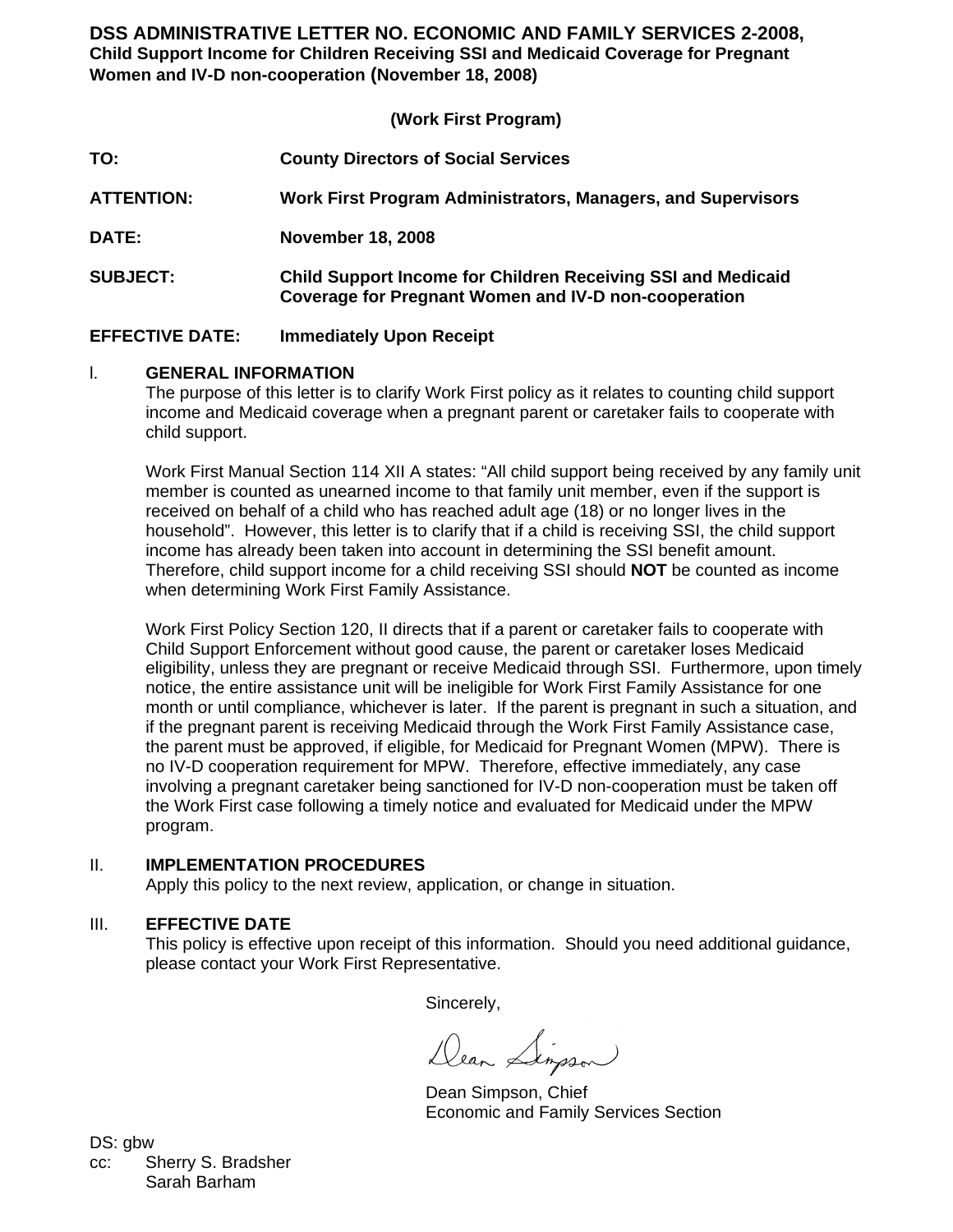**DSS ADMINISTRATIVE LETTER NO. ECONOMIC AND FAMILY SERVICES 2-2008, Child Support Income for Children Receiving SSI and Medicaid Coverage for Pregnant Women and IV-D non-cooperation (November 18, 2008)**

## **(Work First Program)**

| TO:                    | <b>County Directors of Social Services</b>                                                                                  |
|------------------------|-----------------------------------------------------------------------------------------------------------------------------|
| <b>ATTENTION:</b>      | Work First Program Administrators, Managers, and Supervisors                                                                |
| DATE:                  | <b>November 18, 2008</b>                                                                                                    |
| <b>SUBJECT:</b>        | <b>Child Support Income for Children Receiving SSI and Medicaid</b><br>Coverage for Pregnant Women and IV-D non-cooperation |
| <b>EFFECTIVE DATE:</b> | <b>Immediately Upon Receipt</b>                                                                                             |

# l. **GENERAL INFORMATION**

The purpose of this letter is to clarify Work First policy as it relates to counting child support income and Medicaid coverage when a pregnant parent or caretaker fails to cooperate with child support.

Work First Manual Section 114 XII A states: "All child support being received by any family unit member is counted as unearned income to that family unit member, even if the support is received on behalf of a child who has reached adult age (18) or no longer lives in the household". However, this letter is to clarify that if a child is receiving SSI, the child support income has already been taken into account in determining the SSI benefit amount. Therefore, child support income for a child receiving SSI should **NOT** be counted as income when determining Work First Family Assistance.

Work First Policy Section 120, II directs that if a parent or caretaker fails to cooperate with Child Support Enforcement without good cause, the parent or caretaker loses Medicaid eligibility, unless they are pregnant or receive Medicaid through SSI. Furthermore, upon timely notice, the entire assistance unit will be ineligible for Work First Family Assistance for one month or until compliance, whichever is later. If the parent is pregnant in such a situation, and if the pregnant parent is receiving Medicaid through the Work First Family Assistance case, the parent must be approved, if eligible, for Medicaid for Pregnant Women (MPW). There is no IV-D cooperation requirement for MPW. Therefore, effective immediately, any case involving a pregnant caretaker being sanctioned for IV-D non-cooperation must be taken off the Work First case following a timely notice and evaluated for Medicaid under the MPW program.

## II. **IMPLEMENTATION PROCEDURES**

Apply this policy to the next review, application, or change in situation.

### III. **EFFECTIVE DATE**

This policy is effective upon receipt of this information. Should you need additional guidance, please contact your Work First Representative.

Sincerely,

Dear Lingson

Dean Simpson, Chief Economic and Family Services Section

DS: gbw cc: Sherry S. Bradsher Sarah Barham